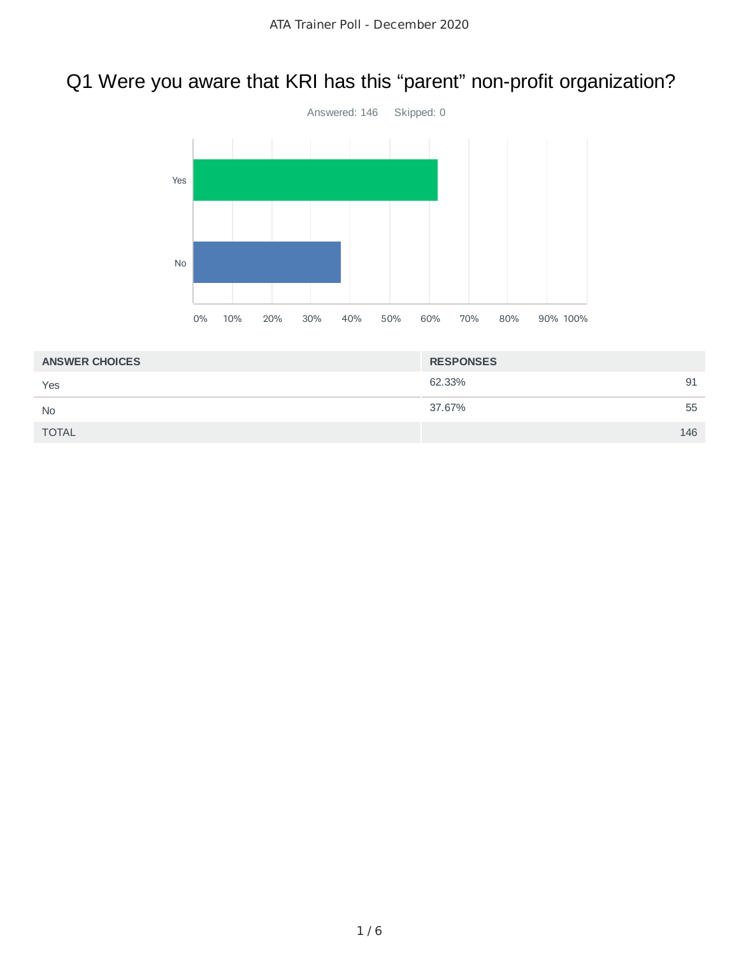# Q1 Were you aware that KRI has this "parent" non-profit organization?



| <b>RESPONSES</b> |     |
|------------------|-----|
| 62.33%           | 91  |
| 37.67%           | 55  |
|                  | 146 |
|                  |     |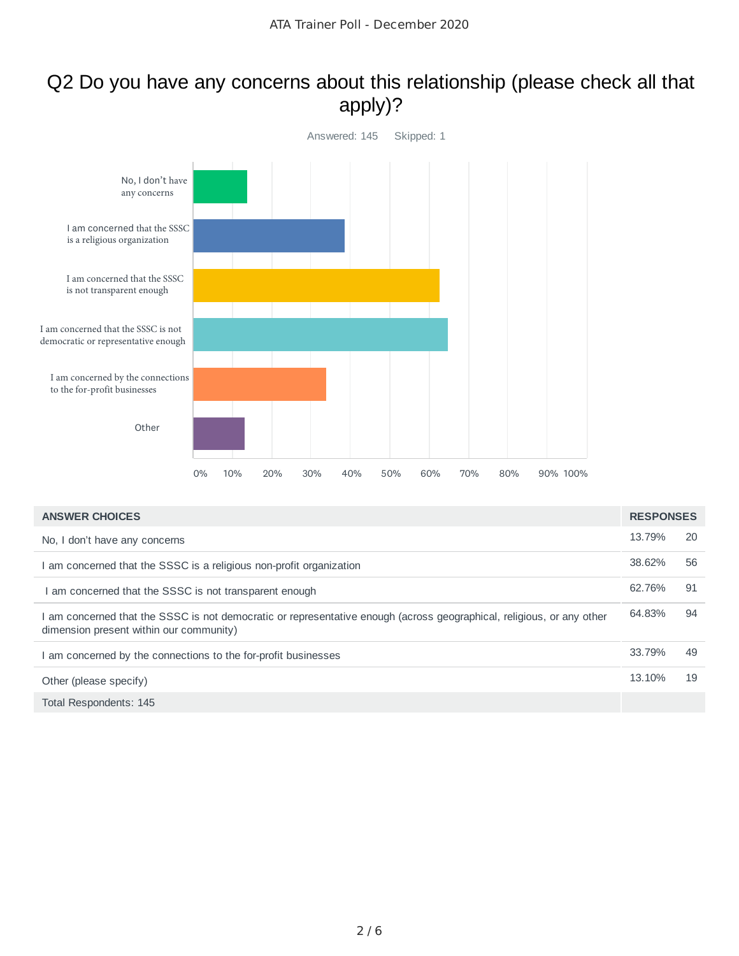#### Q2 Do you have any concerns about this relationship (please check all that apply)?



| <b>ANSWER CHOICES</b>                                                                                                                                            | <b>RESPONSES</b> |    |
|------------------------------------------------------------------------------------------------------------------------------------------------------------------|------------------|----|
| No, I don't have any concerns                                                                                                                                    | 13.79%           | 20 |
| I am concerned that the SSSC is a religious non-profit organization                                                                                              | 38.62%           | 56 |
| I am concerned that the SSSC is not transparent enough                                                                                                           | 62.76%           | 91 |
| I am concerned that the SSSC is not democratic or representative enough (across geographical, religious, or any other<br>dimension present within our community) | 64.83%           | 94 |
| I am concerned by the connections to the for-profit businesses                                                                                                   | 33.79%           | 49 |
| Other (please specify)                                                                                                                                           | 13.10%           | 19 |
| Total Respondents: 145                                                                                                                                           |                  |    |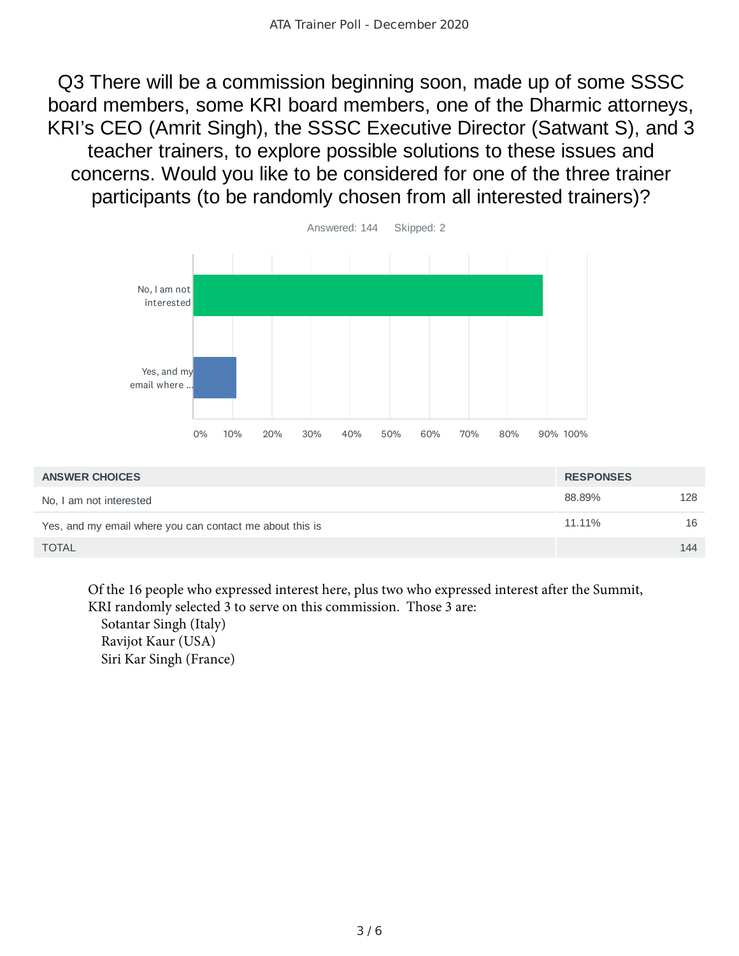Q3 There will be a commission beginning soon, made up of some SSSC board members, some KRI board members, one of the Dharmic attorneys, KRI's CEO (Amrit Singh), the SSSC Executive Director (Satwant S), and 3 teacher trainers, to explore possible solutions to these issues and concerns. Would you like to be considered for one of the three trainer participants (to be randomly chosen from all interested trainers)?



| <b>ANSWER CHOICES</b>                                    | <b>RESPONSES</b> |     |
|----------------------------------------------------------|------------------|-----|
| No, I am not interested                                  | 88.89%           | 128 |
| Yes, and my email where you can contact me about this is | 11.11%           | 16  |
| <b>TOTAL</b>                                             |                  | 144 |

Of the 16 people who expressed interest here, plus two who expressed interest after the Summit, KRI randomly selected 3 to serve on this commission. Those 3 are:

 Sotantar Singh (Italy) Ravijot Kaur (USA) Siri Kar Singh (France)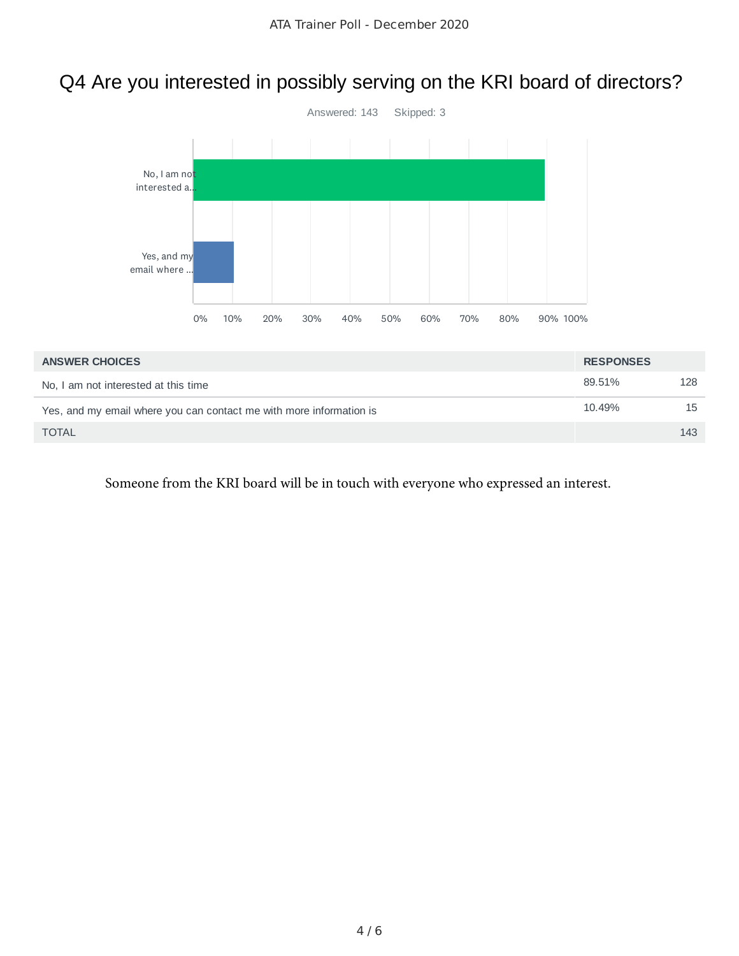# Q4 Are you interested in possibly serving on the KRI board of directors?



| <b>ANSWER CHOICES</b>                                               | <b>RESPONSES</b> |     |
|---------------------------------------------------------------------|------------------|-----|
| No, I am not interested at this time                                | 89.51%           | 128 |
| Yes, and my email where you can contact me with more information is | 10.49%           | 15  |
| <b>TOTAL</b>                                                        |                  | 143 |

Someone from the KRI board will be in touch with everyone who expressed an interest.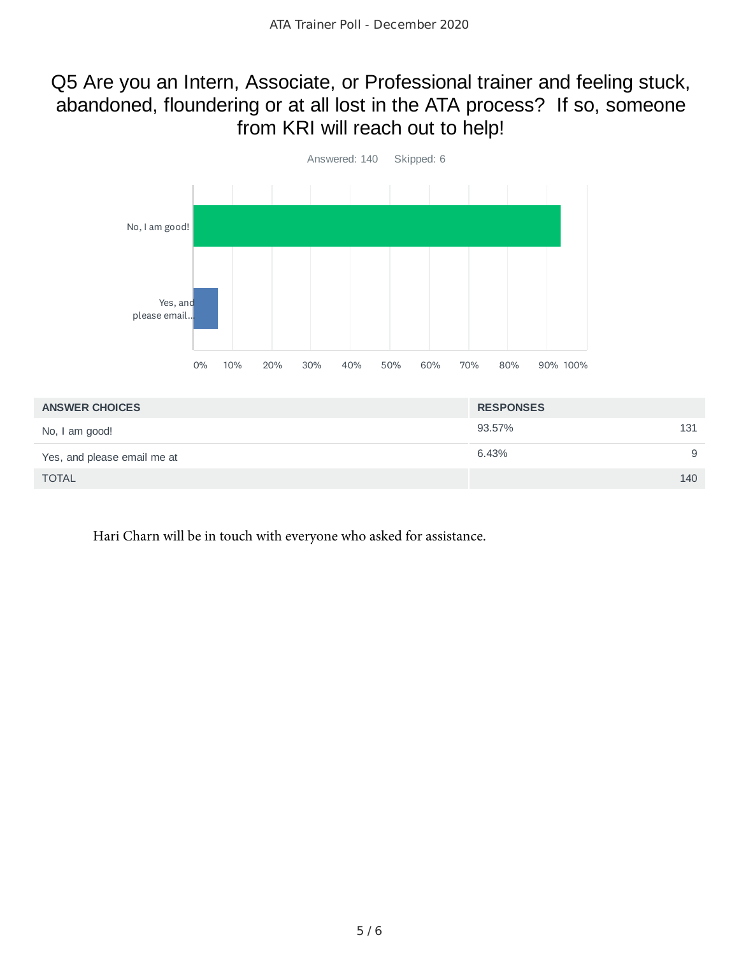## Q5 Are you an Intern, Associate, or Professional trainer and feeling stuck, abandoned, floundering or at all lost in the ATA process? If so, someone from KRI will reach out to help!



| <b>ANSWER CHOICES</b>       | <b>RESPONSES</b> |
|-----------------------------|------------------|
| No, I am good!              | 93.57%<br>131    |
| Yes, and please email me at | 6.43%<br>9       |
| <b>TOTAL</b>                | 140              |

Hari Charn will be in touch with everyone who asked for assistance.